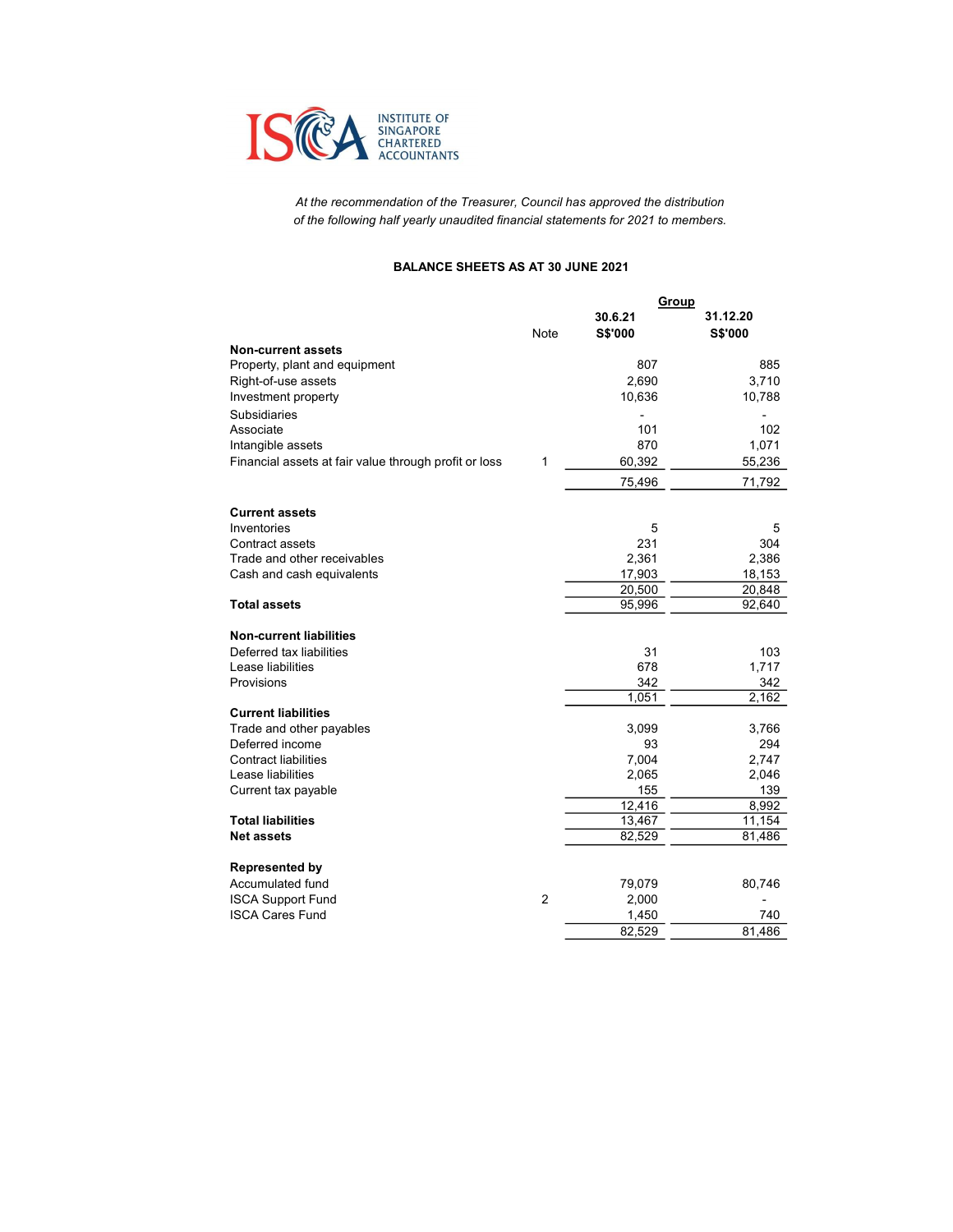

At the recommendation of the Treasurer, Council has approved the distribution of the following half yearly unaudited financial statements for 2021 to members.

### BALANCE SHEETS AS AT 30 JUNE 2021

|                                                       | Group       |              |              |
|-------------------------------------------------------|-------------|--------------|--------------|
|                                                       |             | 30.6.21      | 31.12.20     |
|                                                       | <b>Note</b> | S\$'000      | S\$'000      |
| <b>Non-current assets</b>                             |             |              |              |
| Property, plant and equipment                         |             | 807          | 885          |
| Right-of-use assets                                   |             | 2,690        | 3,710        |
| Investment property                                   |             | 10,636       | 10,788       |
| <b>Subsidiaries</b>                                   |             |              |              |
| Associate                                             |             | 101          | 102          |
| Intangible assets                                     |             | 870          | 1,071        |
| Financial assets at fair value through profit or loss | 1           | 60,392       | 55,236       |
|                                                       |             | 75,496       | 71,792       |
| <b>Current assets</b>                                 |             |              |              |
| Inventories                                           |             | 5            | 5            |
| Contract assets                                       |             | 231          | 304          |
| Trade and other receivables                           |             | 2.361        | 2,386        |
| Cash and cash equivalents                             |             | 17,903       | 18,153       |
|                                                       |             | 20,500       | 20,848       |
| <b>Total assets</b>                                   |             | 95,996       | 92,640       |
| <b>Non-current liabilities</b>                        |             |              |              |
| Deferred tax liabilities                              |             | 31           | 103          |
| Lease liabilities                                     |             | 678          | 1.717        |
| Provisions                                            |             | 342          | 342          |
|                                                       |             | 1,051        | 2,162        |
| <b>Current liabilities</b>                            |             |              |              |
| Trade and other payables                              |             | 3,099        | 3,766        |
| Deferred income                                       |             | 93           | 294          |
| <b>Contract liabilities</b>                           |             | 7,004        | 2,747        |
| Lease liabilities                                     |             | 2,065<br>155 | 2,046        |
| Current tax payable                                   |             | 12,416       | 139<br>8,992 |
| <b>Total liabilities</b>                              |             | 13,467       | 11,154       |
| <b>Net assets</b>                                     |             | 82,529       | 81,486       |
| <b>Represented by</b>                                 |             |              |              |
| Accumulated fund                                      |             | 79,079       | 80,746       |
| <b>ISCA Support Fund</b>                              | 2           | 2,000        |              |
| <b>ISCA Cares Fund</b>                                |             | 1,450        | 740          |
|                                                       |             | 82,529       | 81,486       |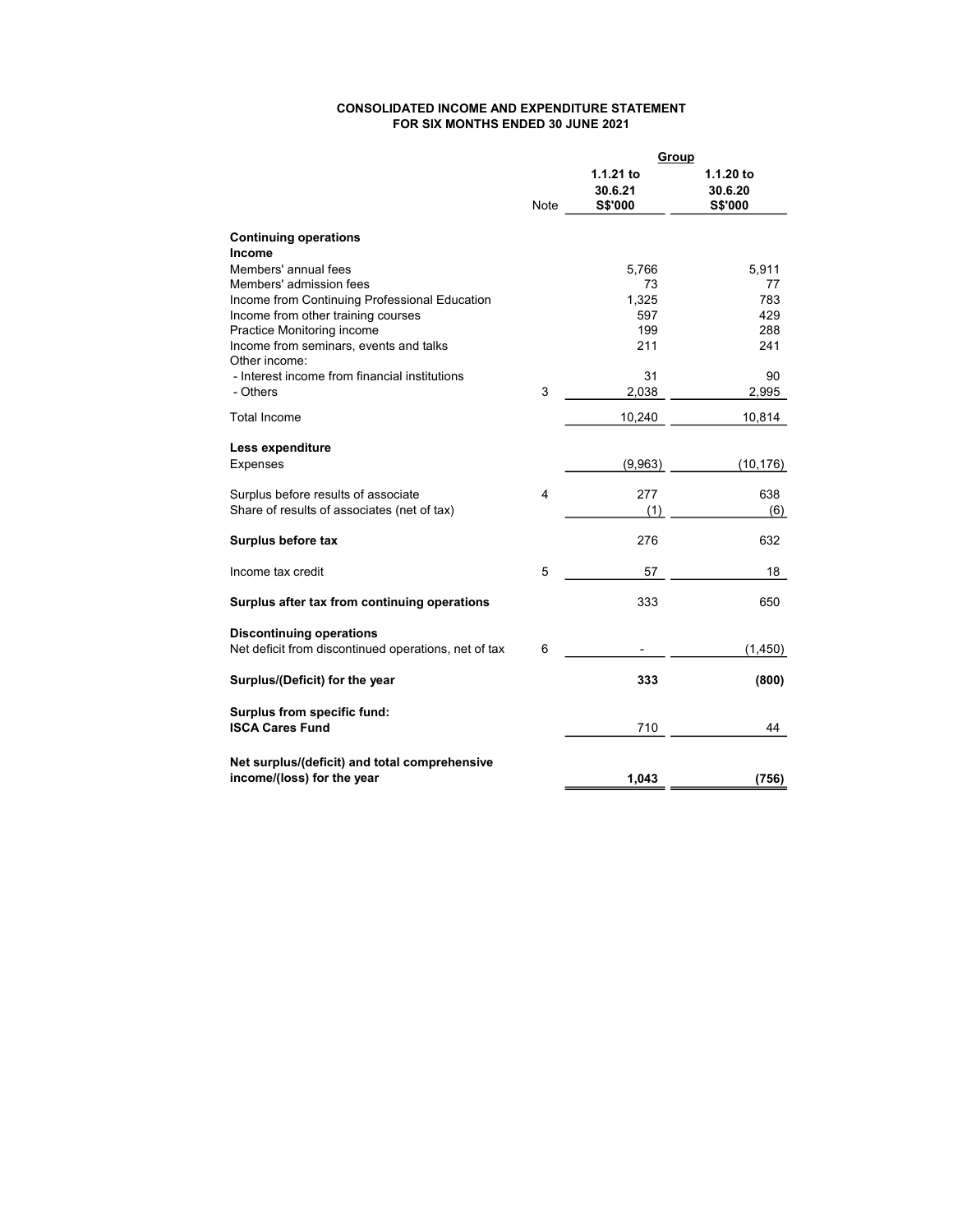#### CONSOLIDATED INCOME AND EXPENDITURE STATEMENT FOR SIX MONTHS ENDED 30 JUNE 2021

|                                                         | Group |                                 |                                 |
|---------------------------------------------------------|-------|---------------------------------|---------------------------------|
|                                                         | Note  | 1.1.21 to<br>30.6.21<br>S\$'000 | 1.1.20 to<br>30.6.20<br>S\$'000 |
| <b>Continuing operations</b>                            |       |                                 |                                 |
| <b>Income</b>                                           |       |                                 |                                 |
| Members' annual fees                                    |       | 5,766                           | 5,911                           |
| Members' admission fees                                 |       | 73                              | 77                              |
| Income from Continuing Professional Education           |       | 1,325                           | 783                             |
| Income from other training courses                      |       | 597                             | 429                             |
| Practice Monitoring income                              |       | 199                             | 288                             |
| Income from seminars, events and talks<br>Other income: |       | 211                             | 241                             |
| - Interest income from financial institutions           |       | 31                              | 90                              |
| - Others                                                | 3     | 2,038                           | 2,995                           |
| <b>Total Income</b>                                     |       | 10,240                          | 10,814                          |
| Less expenditure                                        |       |                                 |                                 |
| Expenses                                                |       | (9,963)                         | (10, 176)                       |
| Surplus before results of associate                     | 4     | 277                             | 638                             |
| Share of results of associates (net of tax)             |       | (1)                             | (6)                             |
| Surplus before tax                                      |       | 276                             | 632                             |
| Income tax credit                                       | 5     | 57                              | 18                              |
| Surplus after tax from continuing operations            |       | 333                             | 650                             |
| <b>Discontinuing operations</b>                         |       |                                 |                                 |
| Net deficit from discontinued operations, net of tax    | 6     |                                 | (1, 450)                        |
| Surplus/(Deficit) for the year                          |       | 333                             | (800)                           |
| Surplus from specific fund:                             |       |                                 |                                 |
| <b>ISCA Cares Fund</b>                                  |       | 710                             | 44                              |
| Net surplus/(deficit) and total comprehensive           |       |                                 |                                 |
| income/(loss) for the year                              |       | 1,043                           | (756)                           |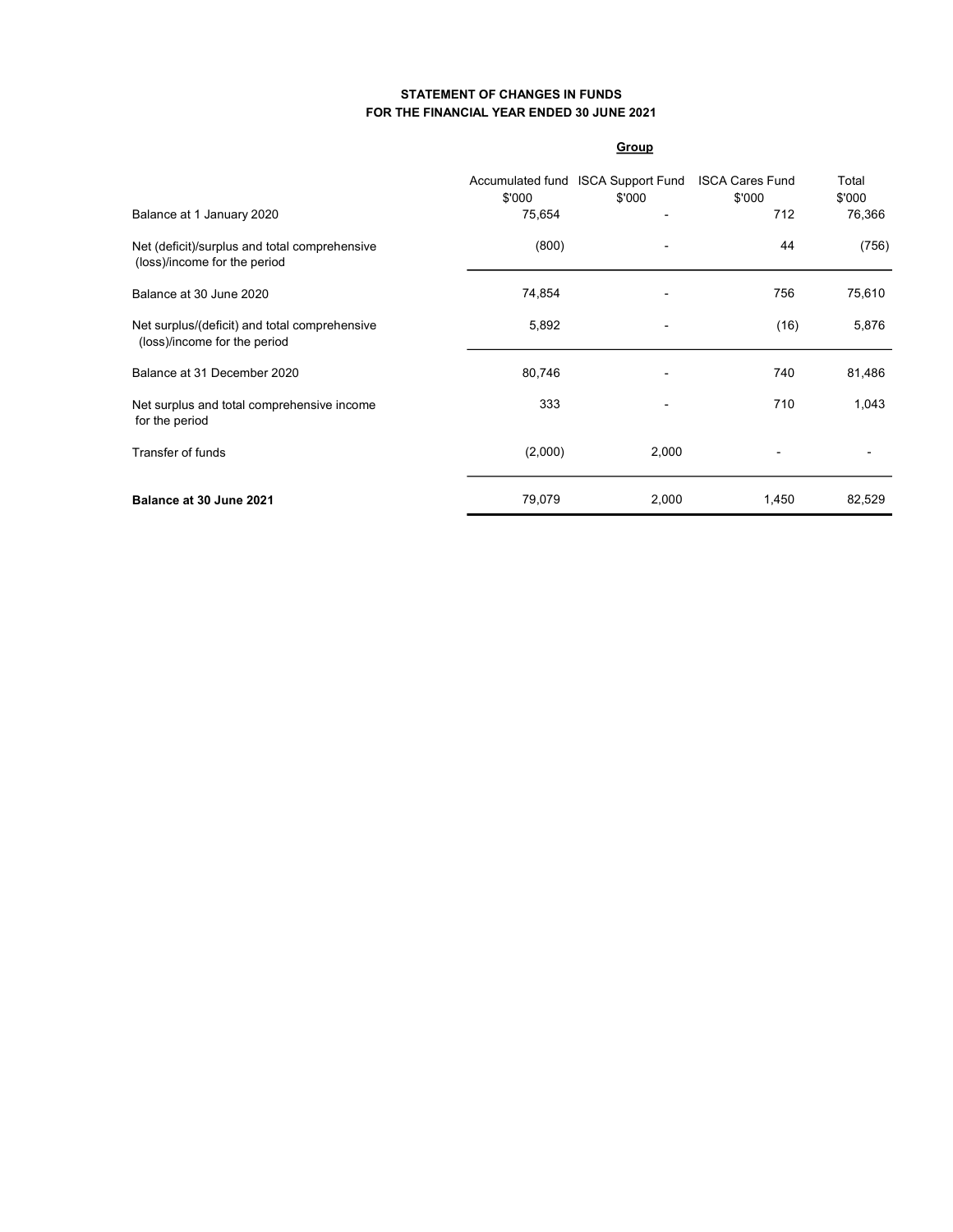## STATEMENT OF CHANGES IN FUNDS FOR THE FINANCIAL YEAR ENDED 30 JUNE 2021

### **Group**

| Balance at 1 January 2020                                                     | \$'000<br>75,654 | Accumulated fund ISCA Support Fund<br>\$'000 | <b>ISCA Cares Fund</b><br>\$'000<br>712 | Total<br>\$'000<br>76,366 |
|-------------------------------------------------------------------------------|------------------|----------------------------------------------|-----------------------------------------|---------------------------|
| Net (deficit)/surplus and total comprehensive<br>(loss)/income for the period | (800)            | -                                            | 44                                      | (756)                     |
| Balance at 30 June 2020                                                       | 74,854           |                                              | 756                                     | 75,610                    |
| Net surplus/(deficit) and total comprehensive<br>(loss)/income for the period | 5,892            | $\blacksquare$                               | (16)                                    | 5,876                     |
| Balance at 31 December 2020                                                   | 80,746           |                                              | 740                                     | 81,486                    |
| Net surplus and total comprehensive income<br>for the period                  | 333              |                                              | 710                                     | 1,043                     |
| <b>Transfer of funds</b>                                                      | (2,000)          | 2,000                                        |                                         |                           |
| Balance at 30 June 2021                                                       | 79,079           | 2,000                                        | 1,450                                   | 82,529                    |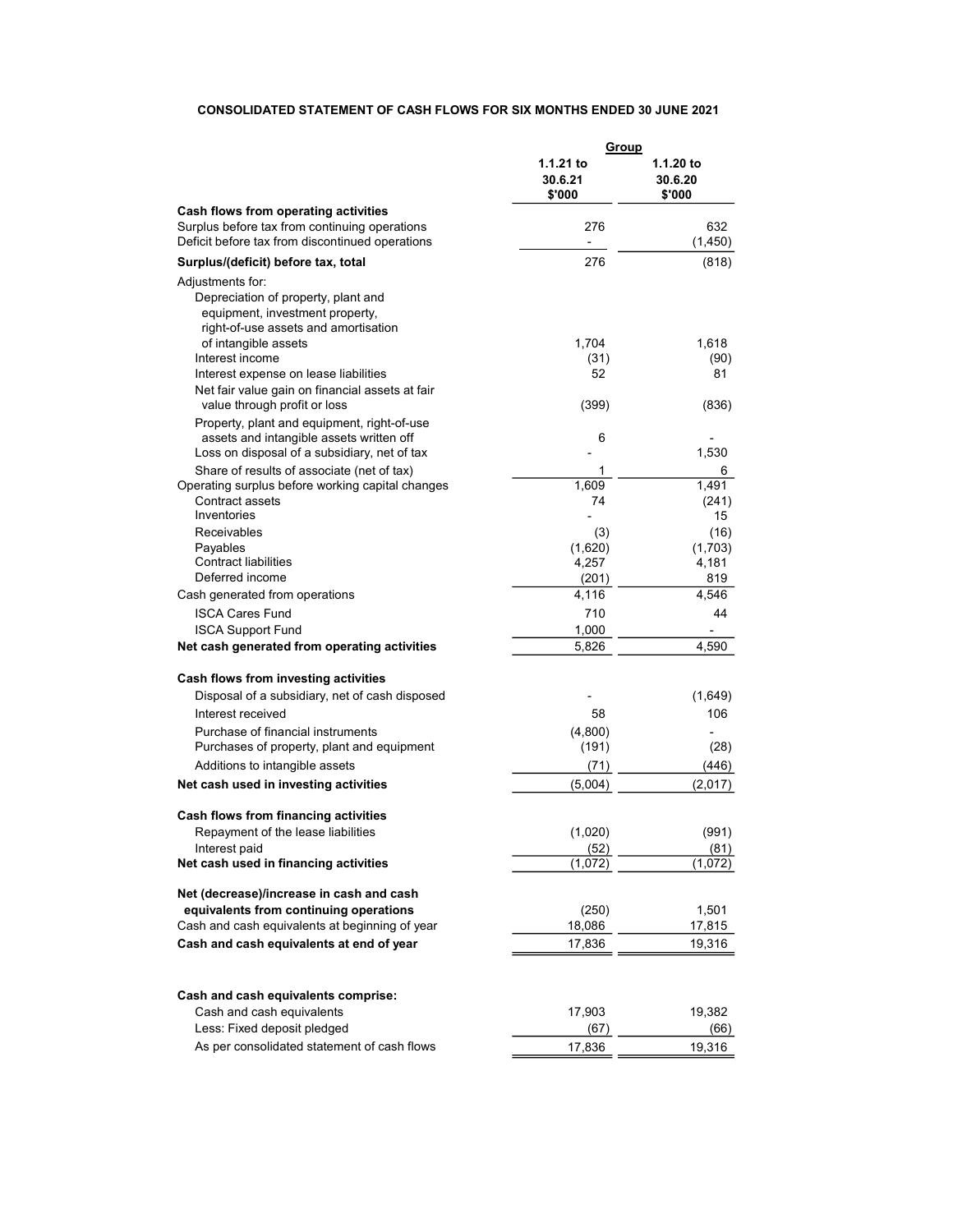# CONSOLIDATED STATEMENT OF CASH FLOWS FOR SIX MONTHS ENDED 30 JUNE 2021

|                                                                                                                                                            | <u>Group</u>                   |                                |
|------------------------------------------------------------------------------------------------------------------------------------------------------------|--------------------------------|--------------------------------|
|                                                                                                                                                            | 1.1.21 to<br>30.6.21<br>\$'000 | 1.1.20 to<br>30.6.20<br>\$'000 |
| Cash flows from operating activities                                                                                                                       |                                |                                |
| Surplus before tax from continuing operations                                                                                                              | 276                            | 632                            |
| Deficit before tax from discontinued operations                                                                                                            | $\qquad \qquad \blacksquare$   | (1,450)                        |
| Surplus/(deficit) before tax, total                                                                                                                        | 276                            | (818)                          |
| Adjustments for:<br>Depreciation of property, plant and<br>equipment, investment property,<br>right-of-use assets and amortisation<br>of intangible assets | 1,704                          | 1,618                          |
| Interest income                                                                                                                                            | (31)                           | (90)                           |
| Interest expense on lease liabilities<br>Net fair value gain on financial assets at fair<br>value through profit or loss                                   | 52<br>(399)                    | 81<br>(836)                    |
| Property, plant and equipment, right-of-use<br>assets and intangible assets written off<br>Loss on disposal of a subsidiary, net of tax                    | 6                              | 1,530                          |
| Share of results of associate (net of tax)                                                                                                                 | 1                              | 6                              |
| Operating surplus before working capital changes                                                                                                           | 1.609                          | 1,491                          |
| Contract assets                                                                                                                                            | 74                             | (241)                          |
| Inventories                                                                                                                                                |                                | 15                             |
| <b>Receivables</b>                                                                                                                                         | (3)                            | (16)                           |
| Payables<br><b>Contract liabilities</b>                                                                                                                    | (1,620)                        | (1,703)                        |
| Deferred income                                                                                                                                            | 4,257<br>(201)                 | 4,181<br>819                   |
| Cash generated from operations                                                                                                                             | 4,116                          | 4,546                          |
| <b>ISCA Cares Fund</b>                                                                                                                                     | 710                            | 44                             |
| <b>ISCA Support Fund</b>                                                                                                                                   | 1,000                          |                                |
| Net cash generated from operating activities                                                                                                               | 5,826                          | 4,590                          |
| Cash flows from investing activities                                                                                                                       |                                |                                |
| Disposal of a subsidiary, net of cash disposed                                                                                                             |                                | (1,649)                        |
| Interest received                                                                                                                                          | 58                             | 106                            |
| Purchase of financial instruments                                                                                                                          | (4,800)                        |                                |
| Purchases of property, plant and equipment                                                                                                                 | (191)                          | (28)                           |
| Additions to intangible assets                                                                                                                             | (71)                           | (446)                          |
| Net cash used in investing activities                                                                                                                      | (5,004)                        | (2,017)                        |
| Cash flows from financing activities                                                                                                                       |                                |                                |
| Repayment of the lease liabilities                                                                                                                         | (1,020)                        | (991)                          |
| Interest paid                                                                                                                                              | (52)                           | (81)                           |
| Net cash used in financing activities                                                                                                                      | (1,072)                        | (1,072)                        |
| Net (decrease)/increase in cash and cash                                                                                                                   |                                |                                |
| equivalents from continuing operations                                                                                                                     | (250)                          | 1,501                          |
| Cash and cash equivalents at beginning of year                                                                                                             | 18,086                         | 17,815                         |
| Cash and cash equivalents at end of year                                                                                                                   | 17,836                         | 19,316                         |
|                                                                                                                                                            |                                |                                |
| Cash and cash equivalents comprise:                                                                                                                        |                                |                                |
| Cash and cash equivalents                                                                                                                                  | 17,903                         | 19,382                         |
| Less: Fixed deposit pledged                                                                                                                                | (67)                           | (66)                           |
| As per consolidated statement of cash flows                                                                                                                | 17,836                         | 19,316                         |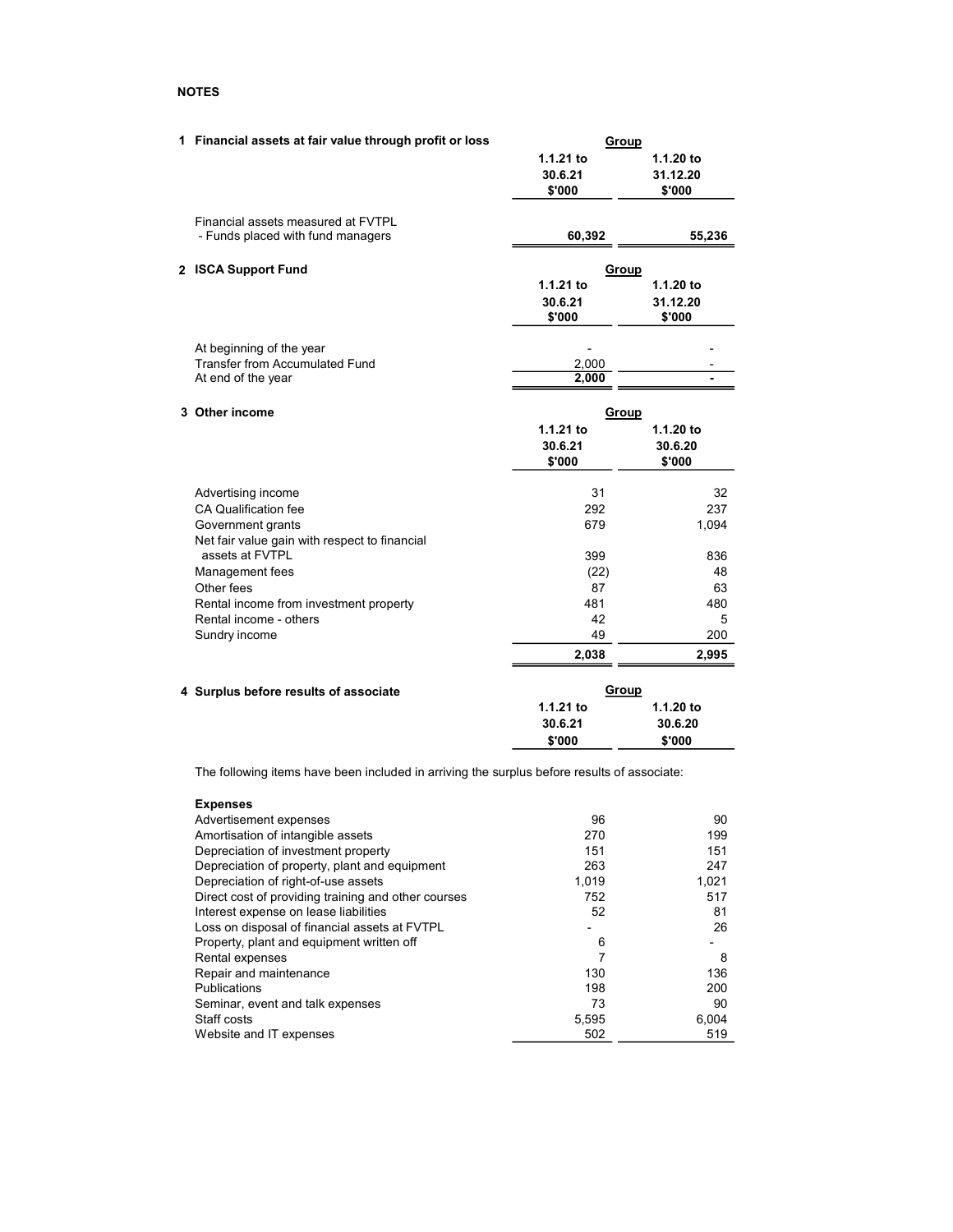## NOTES

| 1 Financial assets at fair value through profit or loss | Group        |           |
|---------------------------------------------------------|--------------|-----------|
|                                                         | 1.1.21 to    | 1.1.20 to |
|                                                         | 30.6.21      | 31.12.20  |
|                                                         | \$'000       | \$'000    |
| Financial assets measured at FVTPL                      |              |           |
| - Funds placed with fund managers                       | 60,392       | 55,236    |
| 2 ISCA Support Fund                                     | <b>Group</b> |           |
|                                                         | 1.1.21 to    | 1.1.20 to |
|                                                         | 30.6.21      | 31.12.20  |
|                                                         | \$'000       | \$'000    |
| At beginning of the year                                |              |           |
| <b>Transfer from Accumulated Fund</b>                   | 2,000        |           |
| At end of the year                                      | 2,000        |           |
| 3 Other income                                          | <b>Group</b> |           |
|                                                         | $1.1.21$ to  | 1.1.20 to |
|                                                         | 30.6.21      | 30.6.20   |
|                                                         | \$'000       | \$'000    |
| Advertising income                                      | 31           | 32        |
| CA Qualification fee                                    | 292          | 237       |
| Government grants                                       | 679          | 1,094     |
| Net fair value gain with respect to financial           |              |           |
| assets at FVTPL                                         | 399          | 836       |
| Management fees                                         | (22)         | 48        |
| Other fees                                              | 87           | 63        |
| Rental income from investment property                  | 481          | 480       |
| Rental income - others                                  | 42           | 5         |
| Sundry income                                           | 49           | 200       |
|                                                         | 2,038        | 2,995     |
| 4 Surplus before results of associate                   | Group        |           |
|                                                         | 1.1.21 to    | 1.1.20 to |
|                                                         | 30.6.21      | 30.6.20   |

The following items have been included in arriving the surplus before results of associate:

\$'000 \$'000

| <b>Expenses</b>                                     |       |       |
|-----------------------------------------------------|-------|-------|
| Advertisement expenses                              | 96    | 90    |
| Amortisation of intangible assets                   | 270   | 199   |
| Depreciation of investment property                 | 151   | 151   |
| Depreciation of property, plant and equipment       | 263   | 247   |
| Depreciation of right-of-use assets                 | 1,019 | 1,021 |
| Direct cost of providing training and other courses | 752   | 517   |
| Interest expense on lease liabilities               | 52    | 81    |
| Loss on disposal of financial assets at FVTPL       |       | 26    |
| Property, plant and equipment written off           | 6     |       |
| Rental expenses                                     | 7     | 8     |
| Repair and maintenance                              | 130   | 136   |
| Publications                                        | 198   | 200   |
| Seminar, event and talk expenses                    | 73    | 90    |
| Staff costs                                         | 5,595 | 6,004 |
| Website and IT expenses                             | 502   | 519   |